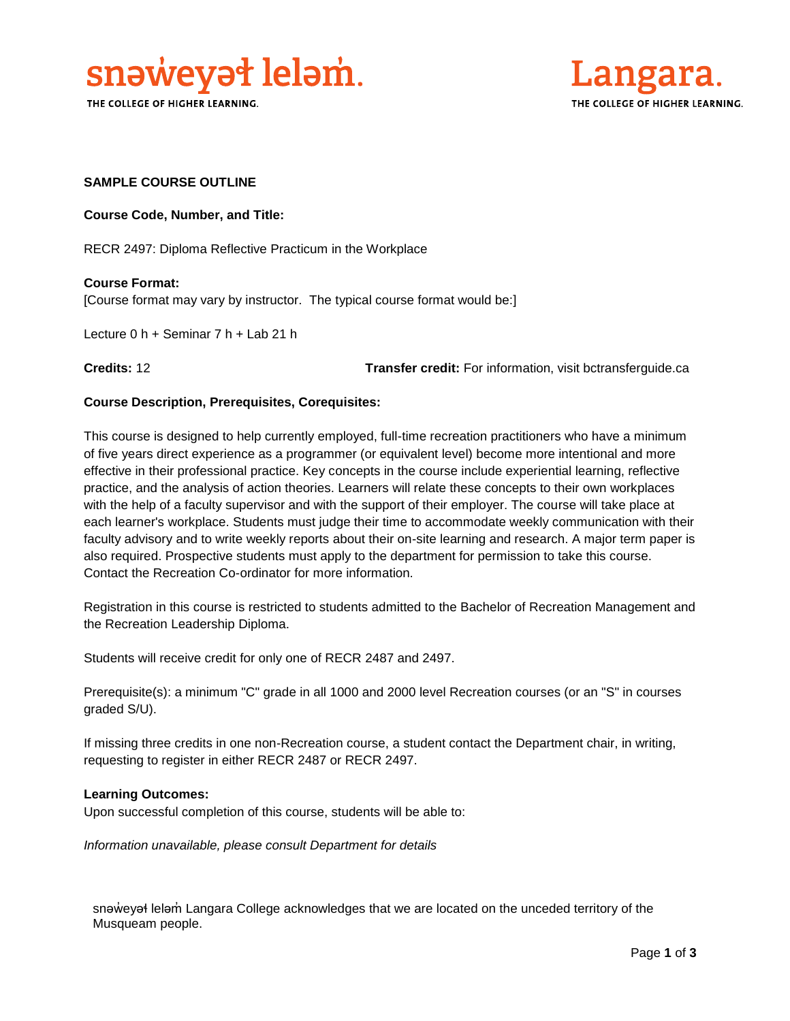

THE COLLEGE OF HIGHER LEARNING.



## **SAMPLE COURSE OUTLINE**

**Course Code, Number, and Title:**

RECR 2497: Diploma Reflective Practicum in the Workplace

**Course Format:** [Course format may vary by instructor. The typical course format would be:]

Lecture 0 h + Seminar 7 h + Lab 21 h

**Credits: 12 Credits: 12 Transfer credit:** For information, visit bctransferguide.ca

## **Course Description, Prerequisites, Corequisites:**

This course is designed to help currently employed, full-time recreation practitioners who have a minimum of five years direct experience as a programmer (or equivalent level) become more intentional and more effective in their professional practice. Key concepts in the course include experiential learning, reflective practice, and the analysis of action theories. Learners will relate these concepts to their own workplaces with the help of a faculty supervisor and with the support of their employer. The course will take place at each learner's workplace. Students must judge their time to accommodate weekly communication with their faculty advisory and to write weekly reports about their on-site learning and research. A major term paper is also required. Prospective students must apply to the department for permission to take this course. Contact the Recreation Co-ordinator for more information.

Registration in this course is restricted to students admitted to the Bachelor of Recreation Management and the Recreation Leadership Diploma.

Students will receive credit for only one of RECR 2487 and 2497.

Prerequisite(s): a minimum "C" grade in all 1000 and 2000 level Recreation courses (or an "S" in courses graded S/U).

If missing three credits in one non-Recreation course, a student contact the Department chair, in writing, requesting to register in either RECR 2487 or RECR 2497.

## **Learning Outcomes:**

Upon successful completion of this course, students will be able to:

*Information unavailable, please consult Department for details* 

snəweyał leləm Langara College acknowledges that we are located on the unceded territory of the Musqueam people.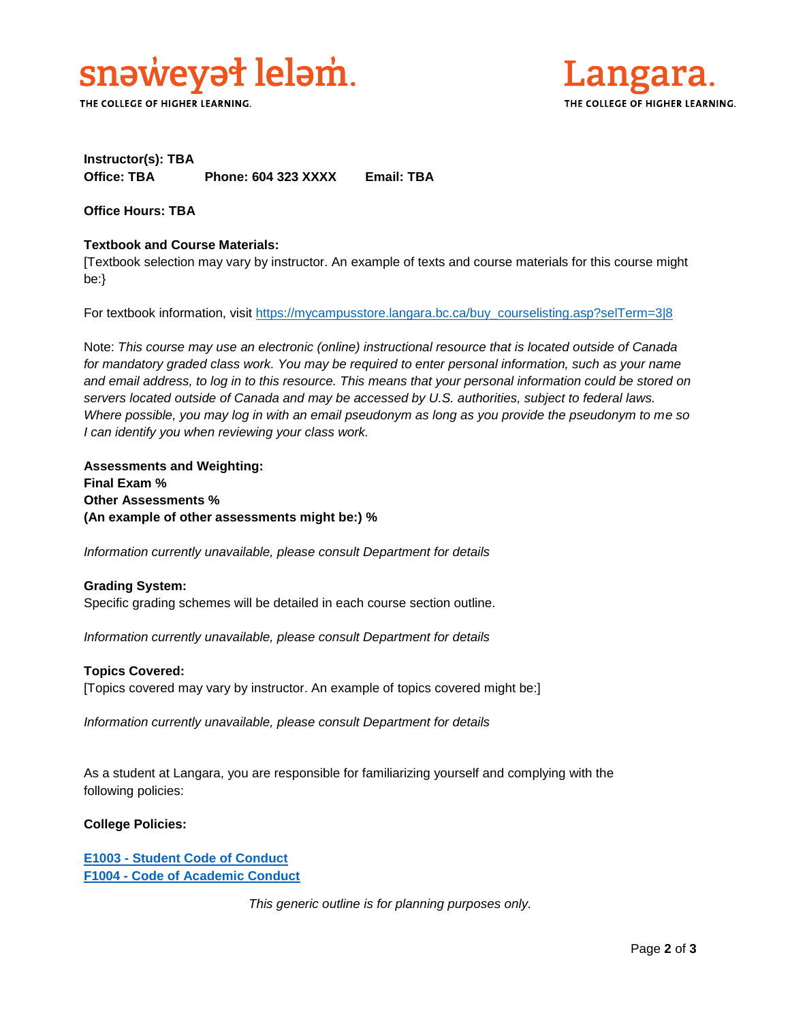

THE COLLEGE OF HIGHER LEARNING.



# **Instructor(s): TBA Office: TBA Phone: 604 323 XXXX Email: TBA**

**Office Hours: TBA** 

## **Textbook and Course Materials:**

[Textbook selection may vary by instructor. An example of texts and course materials for this course might be:}

For textbook information, visit [https://mycampusstore.langara.bc.ca/buy\\_courselisting.asp?selTerm=3|8](https://mycampusstore.langara.bc.ca/buy_courselisting.asp?selTerm=3|8)

Note: *This course may use an electronic (online) instructional resource that is located outside of Canada*  for mandatory graded class work. You may be required to enter personal information, such as your name *and email address, to log in to this resource. This means that your personal information could be stored on servers located outside of Canada and may be accessed by U.S. authorities, subject to federal laws. Where possible, you may log in with an email pseudonym as long as you provide the pseudonym to me so I can identify you when reviewing your class work.* 

**Assessments and Weighting: Final Exam % Other Assessments % (An example of other assessments might be:) %**

*Information currently unavailable, please consult Department for details* 

## **Grading System:**

Specific grading schemes will be detailed in each course section outline.

*Information currently unavailable, please consult Department for details* 

## **Topics Covered:**

[Topics covered may vary by instructor. An example of topics covered might be:]

*Information currently unavailable, please consult Department for details* 

As a student at Langara, you are responsible for familiarizing yourself and complying with the following policies:

## **College Policies:**

**E1003 - [Student Code of Conduct](https://langara.ca/about-langara/policies/pdf/E1003.pdf)  F1004 - [Code of Academic Conduct](http://langara.bc.ca/registration-and-records/pdf/F1004.pdf)**

*This generic outline is for planning purposes only.*